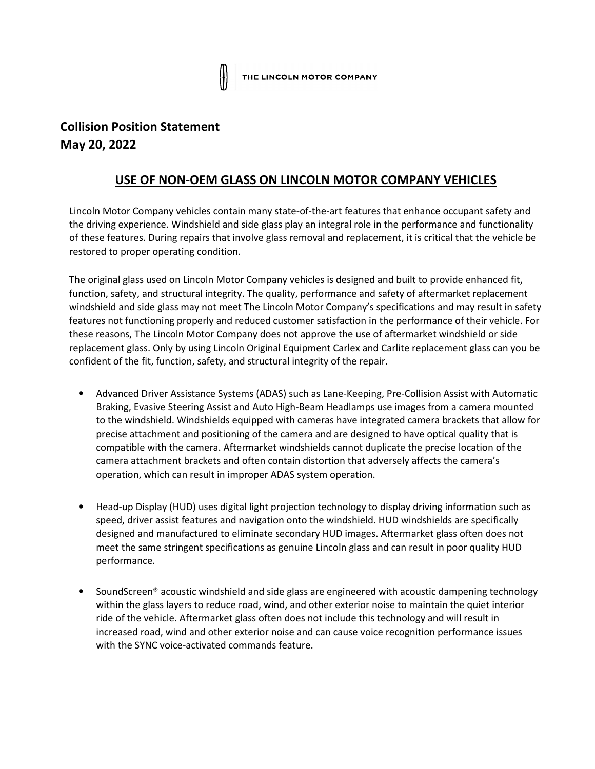## **Collision Position Statement May 20, 2022**

## **USE OF NON-OEM GLASS ON LINCOLN MOTOR COMPANY VEHICLES**

Lincoln Motor Company vehicles contain many state-of-the-art features that enhance occupant safety and the driving experience. Windshield and side glass play an integral role in the performance and functionality of these features. During repairs that involve glass removal and replacement, it is critical that the vehicle be restored to proper operating condition.

The original glass used on Lincoln Motor Company vehicles is designed and built to provide enhanced fit, function, safety, and structural integrity. The quality, performance and safety of aftermarket replacement windshield and side glass may not meet The Lincoln Motor Company's specifications and may result in safety features not functioning properly and reduced customer satisfaction in the performance of their vehicle. For these reasons, The Lincoln Motor Company does not approve the use of aftermarket windshield or side replacement glass. Only by using Lincoln Original Equipment Carlex and Carlite replacement glass can you be confident of the fit, function, safety, and structural integrity of the repair.

- Advanced Driver Assistance Systems (ADAS) such as Lane-Keeping, Pre-Collision Assist with Automatic Braking, Evasive Steering Assist and Auto High-Beam Headlamps use images from a camera mounted to the windshield. Windshields equipped with cameras have integrated camera brackets that allow for precise attachment and positioning of the camera and are designed to have optical quality that is compatible with the camera. Aftermarket windshields cannot duplicate the precise location of the camera attachment brackets and often contain distortion that adversely affects the camera's operation, which can result in improper ADAS system operation.
- Head-up Display (HUD) uses digital light projection technology to display driving information such as speed, driver assist features and navigation onto the windshield. HUD windshields are specifically designed and manufactured to eliminate secondary HUD images. Aftermarket glass often does not meet the same stringent specifications as genuine Lincoln glass and can result in poor quality HUD performance.
- SoundScreen® acoustic windshield and side glass are engineered with acoustic dampening technology within the glass layers to reduce road, wind, and other exterior noise to maintain the quiet interior ride of the vehicle. Aftermarket glass often does not include this technology and will result in increased road, wind and other exterior noise and can cause voice recognition performance issues with the SYNC voice-activated commands feature.